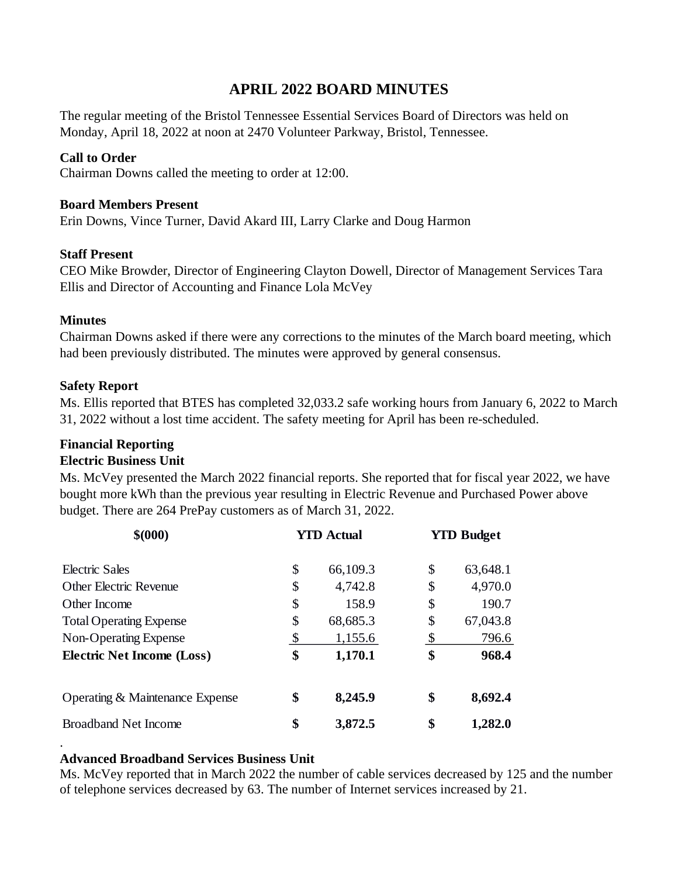## **APRIL 2022 BOARD MINUTES**

The regular meeting of the Bristol Tennessee Essential Services Board of Directors was held on Monday, April 18, 2022 at noon at 2470 Volunteer Parkway, Bristol, Tennessee.

#### **Call to Order**

Chairman Downs called the meeting to order at 12:00.

#### **Board Members Present**

Erin Downs, Vince Turner, David Akard III, Larry Clarke and Doug Harmon

#### **Staff Present**

CEO Mike Browder, Director of Engineering Clayton Dowell, Director of Management Services Tara Ellis and Director of Accounting and Finance Lola McVey

#### **Minutes**

.

Chairman Downs asked if there were any corrections to the minutes of the March board meeting, which had been previously distributed. The minutes were approved by general consensus.

#### **Safety Report**

Ms. Ellis reported that BTES has completed 32,033.2 safe working hours from January 6, 2022 to March 31, 2022 without a lost time accident. The safety meeting for April has been re-scheduled.

#### **Financial Reporting**

#### **Electric Business Unit**

Ms. McVey presented the March 2022 financial reports. She reported that for fiscal year 2022, we have bought more kWh than the previous year resulting in Electric Revenue and Purchased Power above budget. There are 264 PrePay customers as of March 31, 2022.

| \$000                             | <b>YTD Actual</b> | <b>YTD Budget</b> |
|-----------------------------------|-------------------|-------------------|
| Electric Sales                    | \$<br>66,109.3    | \$<br>63,648.1    |
| <b>Other Electric Revenue</b>     | \$<br>4,742.8     | \$<br>4,970.0     |
| Other Income                      | \$<br>158.9       | \$<br>190.7       |
| <b>Total Operating Expense</b>    | \$<br>68,685.3    | \$<br>67,043.8    |
| Non-Operating Expense             | \$<br>1,155.6     | \$<br>796.6       |
| <b>Electric Net Income (Loss)</b> | \$<br>1,170.1     | \$<br>968.4       |
| Operating & Maintenance Expense   | \$<br>8,245.9     | \$<br>8,692.4     |
| <b>Broadband Net Income</b>       | \$<br>3,872.5     | \$<br>1,282.0     |

#### **Advanced Broadband Services Business Unit**

Ms. McVey reported that in March 2022 the number of cable services decreased by 125 and the number of telephone services decreased by 63. The number of Internet services increased by 21.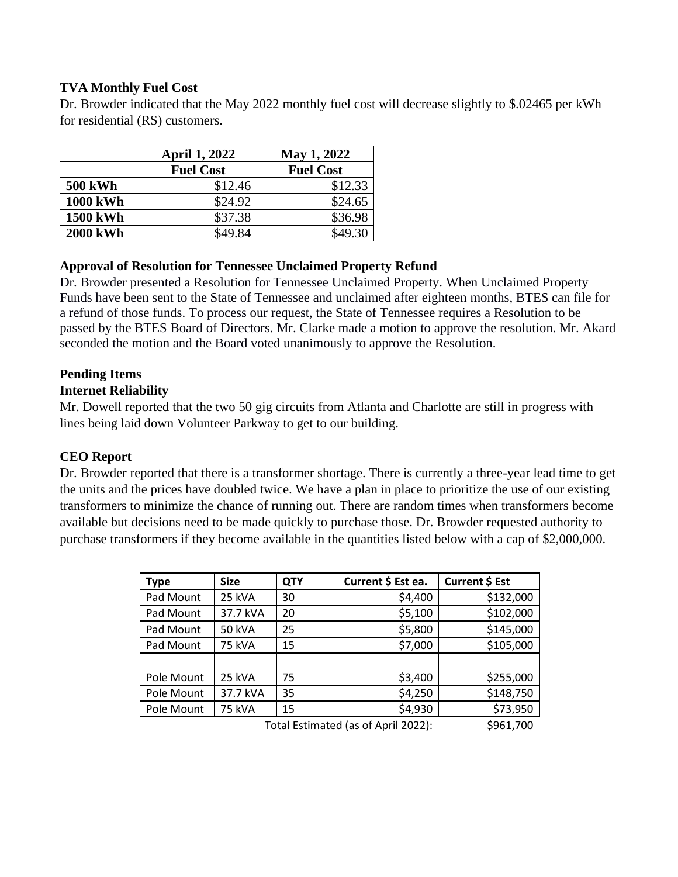### **TVA Monthly Fuel Cost**

Dr. Browder indicated that the May 2022 monthly fuel cost will decrease slightly to \$.02465 per kWh for residential (RS) customers.

|                 | <b>April 1, 2022</b> | May 1, 2022      |  |
|-----------------|----------------------|------------------|--|
|                 | <b>Fuel Cost</b>     | <b>Fuel Cost</b> |  |
| <b>500 kWh</b>  | \$12.46              | \$12.33          |  |
| <b>1000 kWh</b> | \$24.92              | \$24.65          |  |
| <b>1500 kWh</b> | \$37.38              | \$36.98          |  |
| <b>2000 kWh</b> | \$49.84              | \$49.30          |  |

## **Approval of Resolution for Tennessee Unclaimed Property Refund**

Dr. Browder presented a Resolution for Tennessee Unclaimed Property. When Unclaimed Property Funds have been sent to the State of Tennessee and unclaimed after eighteen months, BTES can file for a refund of those funds. To process our request, the State of Tennessee requires a Resolution to be passed by the BTES Board of Directors. Mr. Clarke made a motion to approve the resolution. Mr. Akard seconded the motion and the Board voted unanimously to approve the Resolution.

# **Pending Items**

## **Internet Reliability**

Mr. Dowell reported that the two 50 gig circuits from Atlanta and Charlotte are still in progress with lines being laid down Volunteer Parkway to get to our building.

## **CEO Report**

Dr. Browder reported that there is a transformer shortage. There is currently a three-year lead time to get the units and the prices have doubled twice. We have a plan in place to prioritize the use of our existing transformers to minimize the chance of running out. There are random times when transformers become available but decisions need to be made quickly to purchase those. Dr. Browder requested authority to purchase transformers if they become available in the quantities listed below with a cap of \$2,000,000.

| <b>Type</b>                         | <b>Size</b>   | <b>QTY</b> | Current \$ Est ea. | Current \$ Est |
|-------------------------------------|---------------|------------|--------------------|----------------|
| Pad Mount                           | 25 kVA        | 30         | \$4,400            | \$132,000      |
| Pad Mount                           | 37.7 kVA      | 20         | \$5,100            | \$102,000      |
| Pad Mount                           | <b>50 kVA</b> | 25         | \$5,800            | \$145,000      |
| Pad Mount                           | <b>75 kVA</b> | 15         | \$7,000            | \$105,000      |
|                                     |               |            |                    |                |
| Pole Mount                          | 25 kVA        | 75         | \$3,400            | \$255,000      |
| Pole Mount                          | 37.7 kVA      | 35         | \$4,250            | \$148,750      |
| Pole Mount                          | <b>75 kVA</b> | 15         | \$4,930            | \$73,950       |
| Total Estimated (as of April 2022): |               |            | \$961.700          |                |

 $T$ otal Estimated (as of April 2022):  $\frac{5961,700}{500}$